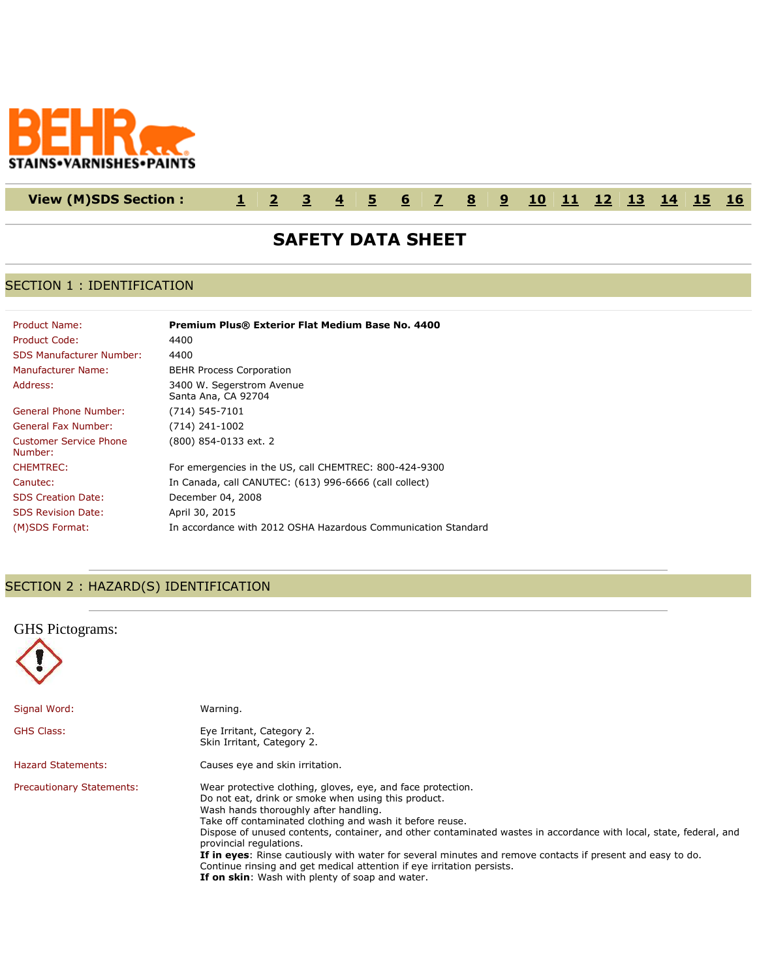

# **View (M)SDS Section : [1](http://www.actiocms.com/VIEW_MSDS/AuthorDisplay_V402/msdsdisplaycode_author_new_MASTER.cfm?edit_msds_id=10958&dbname=production&Hide_Section_Numbers=N&formatcode=7&language=1&noprint_label_fax_email=N#section1) [2](http://www.actiocms.com/VIEW_MSDS/AuthorDisplay_V402/msdsdisplaycode_author_new_MASTER.cfm?edit_msds_id=10958&dbname=production&Hide_Section_Numbers=N&formatcode=7&language=1&noprint_label_fax_email=N#section2) [3](http://www.actiocms.com/VIEW_MSDS/AuthorDisplay_V402/msdsdisplaycode_author_new_MASTER.cfm?edit_msds_id=10958&dbname=production&Hide_Section_Numbers=N&formatcode=7&language=1&noprint_label_fax_email=N#section3) [4](http://www.actiocms.com/VIEW_MSDS/AuthorDisplay_V402/msdsdisplaycode_author_new_MASTER.cfm?edit_msds_id=10958&dbname=production&Hide_Section_Numbers=N&formatcode=7&language=1&noprint_label_fax_email=N#section4) [5](http://www.actiocms.com/VIEW_MSDS/AuthorDisplay_V402/msdsdisplaycode_author_new_MASTER.cfm?edit_msds_id=10958&dbname=production&Hide_Section_Numbers=N&formatcode=7&language=1&noprint_label_fax_email=N#section5) [6](http://www.actiocms.com/VIEW_MSDS/AuthorDisplay_V402/msdsdisplaycode_author_new_MASTER.cfm?edit_msds_id=10958&dbname=production&Hide_Section_Numbers=N&formatcode=7&language=1&noprint_label_fax_email=N#section6) [7](http://www.actiocms.com/VIEW_MSDS/AuthorDisplay_V402/msdsdisplaycode_author_new_MASTER.cfm?edit_msds_id=10958&dbname=production&Hide_Section_Numbers=N&formatcode=7&language=1&noprint_label_fax_email=N#section7) [8](http://www.actiocms.com/VIEW_MSDS/AuthorDisplay_V402/msdsdisplaycode_author_new_MASTER.cfm?edit_msds_id=10958&dbname=production&Hide_Section_Numbers=N&formatcode=7&language=1&noprint_label_fax_email=N#section8) [9](http://www.actiocms.com/VIEW_MSDS/AuthorDisplay_V402/msdsdisplaycode_author_new_MASTER.cfm?edit_msds_id=10958&dbname=production&Hide_Section_Numbers=N&formatcode=7&language=1&noprint_label_fax_email=N#section9) [10](http://www.actiocms.com/VIEW_MSDS/AuthorDisplay_V402/msdsdisplaycode_author_new_MASTER.cfm?edit_msds_id=10958&dbname=production&Hide_Section_Numbers=N&formatcode=7&language=1&noprint_label_fax_email=N#section10) [11](http://www.actiocms.com/VIEW_MSDS/AuthorDisplay_V402/msdsdisplaycode_author_new_MASTER.cfm?edit_msds_id=10958&dbname=production&Hide_Section_Numbers=N&formatcode=7&language=1&noprint_label_fax_email=N#section11) [12](http://www.actiocms.com/VIEW_MSDS/AuthorDisplay_V402/msdsdisplaycode_author_new_MASTER.cfm?edit_msds_id=10958&dbname=production&Hide_Section_Numbers=N&formatcode=7&language=1&noprint_label_fax_email=N#section12) [13](http://www.actiocms.com/VIEW_MSDS/AuthorDisplay_V402/msdsdisplaycode_author_new_MASTER.cfm?edit_msds_id=10958&dbname=production&Hide_Section_Numbers=N&formatcode=7&language=1&noprint_label_fax_email=N#section13) [14](http://www.actiocms.com/VIEW_MSDS/AuthorDisplay_V402/msdsdisplaycode_author_new_MASTER.cfm?edit_msds_id=10958&dbname=production&Hide_Section_Numbers=N&formatcode=7&language=1&noprint_label_fax_email=N#section14) [15](http://www.actiocms.com/VIEW_MSDS/AuthorDisplay_V402/msdsdisplaycode_author_new_MASTER.cfm?edit_msds_id=10958&dbname=production&Hide_Section_Numbers=N&formatcode=7&language=1&noprint_label_fax_email=N#section15) [16](http://www.actiocms.com/VIEW_MSDS/AuthorDisplay_V402/msdsdisplaycode_author_new_MASTER.cfm?edit_msds_id=10958&dbname=production&Hide_Section_Numbers=N&formatcode=7&language=1&noprint_label_fax_email=N#section16)**

# **SAFETY DATA SHEET**

### SECTION 1 : IDENTIFICATION

| Product Name:                            | <b>Premium Plus® Exterior Flat Medium Base No. 4400</b>       |
|------------------------------------------|---------------------------------------------------------------|
| Product Code:                            | 4400                                                          |
| <b>SDS Manufacturer Number:</b>          | 4400                                                          |
| Manufacturer Name:                       | <b>BEHR Process Corporation</b>                               |
| Address:                                 | 3400 W. Segerstrom Avenue<br>Santa Ana, CA 92704              |
| General Phone Number:                    | $(714) 545 - 7101$                                            |
| General Fax Number:                      | (714) 241-1002                                                |
| <b>Customer Service Phone</b><br>Number: | (800) 854-0133 ext. 2                                         |
| <b>CHEMTREC:</b>                         | For emergencies in the US, call CHEMTREC: 800-424-9300        |
| Canutec:                                 | In Canada, call CANUTEC: (613) 996-6666 (call collect)        |
| <b>SDS Creation Date:</b>                | December 04, 2008                                             |
| <b>SDS Revision Date:</b>                | April 30, 2015                                                |
| (M)SDS Format:                           | In accordance with 2012 OSHA Hazardous Communication Standard |

## SECTION 2 : HAZARD(S) IDENTIFICATION

| <b>GHS</b> Pictograms:           |                                                                                                                                                                                                                                                                                                                                                                                                                                                                                                                                                                                                                     |
|----------------------------------|---------------------------------------------------------------------------------------------------------------------------------------------------------------------------------------------------------------------------------------------------------------------------------------------------------------------------------------------------------------------------------------------------------------------------------------------------------------------------------------------------------------------------------------------------------------------------------------------------------------------|
| Signal Word:                     | Warning.                                                                                                                                                                                                                                                                                                                                                                                                                                                                                                                                                                                                            |
| <b>GHS Class:</b>                | Eye Irritant, Category 2.<br>Skin Irritant, Category 2.                                                                                                                                                                                                                                                                                                                                                                                                                                                                                                                                                             |
| <b>Hazard Statements:</b>        | Causes eye and skin irritation.                                                                                                                                                                                                                                                                                                                                                                                                                                                                                                                                                                                     |
| <b>Precautionary Statements:</b> | Wear protective clothing, gloves, eye, and face protection.<br>Do not eat, drink or smoke when using this product.<br>Wash hands thoroughly after handling.<br>Take off contaminated clothing and wash it before reuse.<br>Dispose of unused contents, container, and other contaminated wastes in accordance with local, state, federal, and<br>provincial regulations.<br>If in eyes: Rinse cautiously with water for several minutes and remove contacts if present and easy to do.<br>Continue rinsing and get medical attention if eye irritation persists.<br>If on skin: Wash with plenty of soap and water. |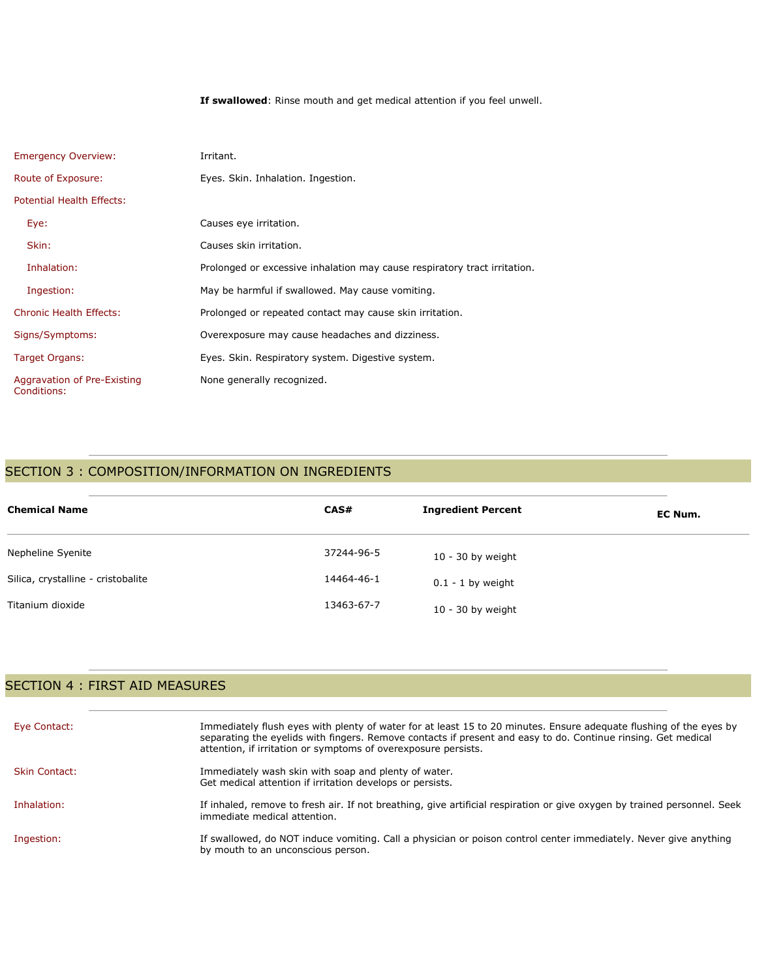**If swallowed**: Rinse mouth and get medical attention if you feel unwell.

| <b>Emergency Overview:</b>                 | Irritant.                                                                 |
|--------------------------------------------|---------------------------------------------------------------------------|
| Route of Exposure:                         | Eyes. Skin. Inhalation. Ingestion.                                        |
| Potential Health Effects:                  |                                                                           |
| Eye:                                       | Causes eye irritation.                                                    |
| Skin:                                      | Causes skin irritation.                                                   |
| Inhalation:                                | Prolonged or excessive inhalation may cause respiratory tract irritation. |
| Ingestion:                                 | May be harmful if swallowed. May cause vomiting.                          |
| <b>Chronic Health Effects:</b>             | Prolonged or repeated contact may cause skin irritation.                  |
| Signs/Symptoms:                            | Overexposure may cause headaches and dizziness.                           |
| Target Organs:                             | Eyes. Skin. Respiratory system. Digestive system.                         |
| Aggravation of Pre-Existing<br>Conditions: | None generally recognized.                                                |

## SECTION 3 : COMPOSITION/INFORMATION ON INGREDIENTS

| <b>Chemical Name</b>               | CAS#       | <b>Ingredient Percent</b> | EC Num. |
|------------------------------------|------------|---------------------------|---------|
| Nepheline Syenite                  | 37244-96-5 | $10 - 30$ by weight       |         |
| Silica, crystalline - cristobalite | 14464-46-1 | $0.1 - 1$ by weight       |         |
| Titanium dioxide                   | 13463-67-7 | $10 - 30$ by weight       |         |

## SECTION 4 : FIRST AID MEASURES

| Eye Contact:         | Immediately flush eyes with plenty of water for at least 15 to 20 minutes. Ensure adequate flushing of the eyes by<br>separating the eyelids with fingers. Remove contacts if present and easy to do. Continue rinsing. Get medical<br>attention, if irritation or symptoms of overexposure persists. |
|----------------------|-------------------------------------------------------------------------------------------------------------------------------------------------------------------------------------------------------------------------------------------------------------------------------------------------------|
| <b>Skin Contact:</b> | Immediately wash skin with soap and plenty of water.<br>Get medical attention if irritation develops or persists.                                                                                                                                                                                     |
| Inhalation:          | If inhaled, remove to fresh air. If not breathing, give artificial respiration or give oxygen by trained personnel. Seek<br>immediate medical attention.                                                                                                                                              |
| Ingestion:           | If swallowed, do NOT induce vomiting. Call a physician or poison control center immediately. Never give anything<br>by mouth to an unconscious person.                                                                                                                                                |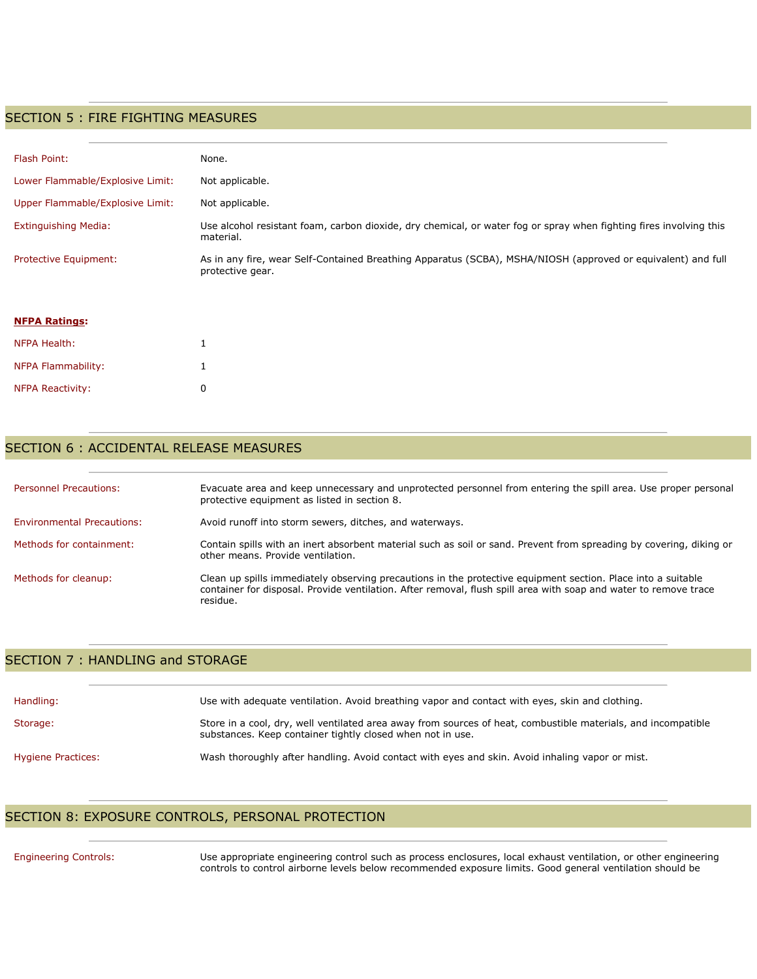#### SECTION 5 : FIRE FIGHTING MEASURES

| Flash Point:                     | None.                                                                                                                            |
|----------------------------------|----------------------------------------------------------------------------------------------------------------------------------|
| Lower Flammable/Explosive Limit: | Not applicable.                                                                                                                  |
| Upper Flammable/Explosive Limit: | Not applicable.                                                                                                                  |
| Extinguishing Media:             | Use alcohol resistant foam, carbon dioxide, dry chemical, or water fog or spray when fighting fires involving this<br>material.  |
| <b>Protective Equipment:</b>     | As in any fire, wear Self-Contained Breathing Apparatus (SCBA), MSHA/NIOSH (approved or equivalent) and full<br>protective gear. |

| <b>NFPA Ratings:</b>    |   |
|-------------------------|---|
| NFPA Health:            | 1 |
| NFPA Flammability:      | 1 |
| <b>NFPA Reactivity:</b> | n |

**NFPA Ratings:**

#### SECTION 6 : ACCIDENTAL RELEASE MEASURES

| <b>Personnel Precautions:</b>     | Evacuate area and keep unnecessary and unprotected personnel from entering the spill area. Use proper personal<br>protective equipment as listed in section 8.                                                                               |
|-----------------------------------|----------------------------------------------------------------------------------------------------------------------------------------------------------------------------------------------------------------------------------------------|
| <b>Environmental Precautions:</b> | Avoid runoff into storm sewers, ditches, and waterways.                                                                                                                                                                                      |
| Methods for containment:          | Contain spills with an inert absorbent material such as soil or sand. Prevent from spreading by covering, diking or<br>other means. Provide ventilation.                                                                                     |
| Methods for cleanup:              | Clean up spills immediately observing precautions in the protective equipment section. Place into a suitable<br>container for disposal. Provide ventilation. After removal, flush spill area with soap and water to remove trace<br>residue. |

#### SECTION 7 : HANDLING and STORAGE

| Handling:                 | Use with adequate ventilation. Avoid breathing vapor and contact with eves, skin and clothing.                                                                              |
|---------------------------|-----------------------------------------------------------------------------------------------------------------------------------------------------------------------------|
| Storage:                  | Store in a cool, dry, well ventilated area away from sources of heat, combustible materials, and incompatible<br>substances. Keep container tightly closed when not in use. |
| <b>Hygiene Practices:</b> | Wash thoroughly after handling. Avoid contact with eyes and skin. Avoid inhaling vapor or mist.                                                                             |

# SECTION 8: EXPOSURE CONTROLS, PERSONAL PROTECTION

Engineering Controls: Use appropriate engineering control such as process enclosures, local exhaust ventilation, or other engineering controls to control airborne levels below recommended exposure limits. Good general ventilation should be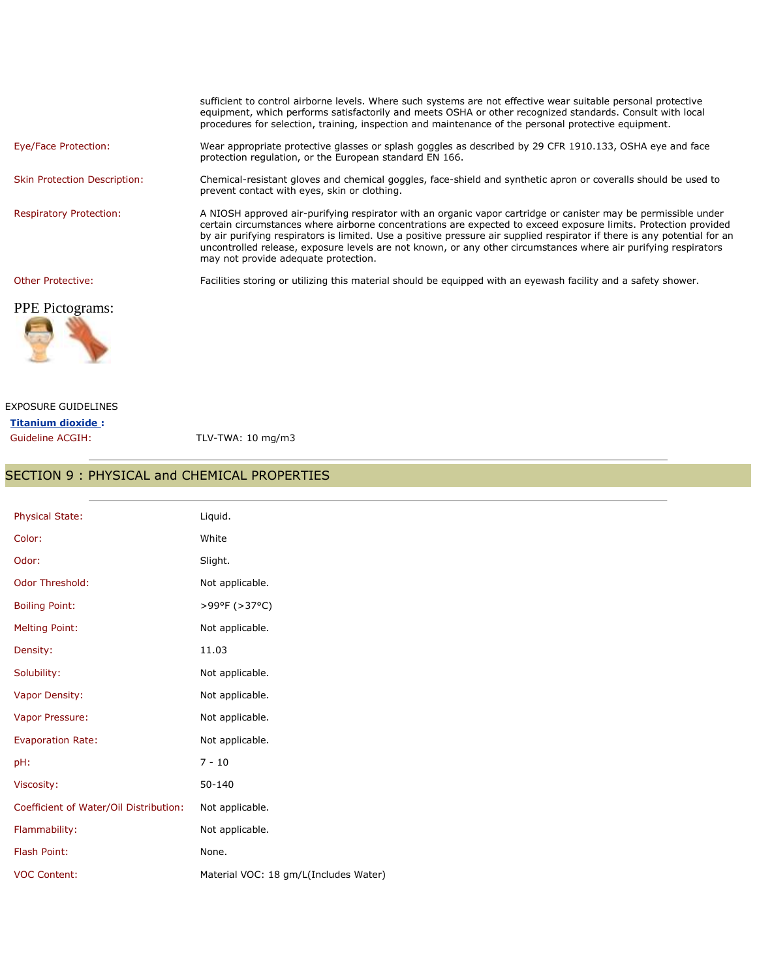|                                     | sufficient to control airborne levels. Where such systems are not effective wear suitable personal protective<br>equipment, which performs satisfactorily and meets OSHA or other recognized standards. Consult with local<br>procedures for selection, training, inspection and maintenance of the personal protective equipment.                                                                                                                                                                                        |
|-------------------------------------|---------------------------------------------------------------------------------------------------------------------------------------------------------------------------------------------------------------------------------------------------------------------------------------------------------------------------------------------------------------------------------------------------------------------------------------------------------------------------------------------------------------------------|
| Eye/Face Protection:                | Wear appropriate protective glasses or splash goggles as described by 29 CFR 1910.133, OSHA eye and face<br>protection regulation, or the European standard EN 166.                                                                                                                                                                                                                                                                                                                                                       |
| <b>Skin Protection Description:</b> | Chemical-resistant gloves and chemical goggles, face-shield and synthetic apron or coveralls should be used to<br>prevent contact with eyes, skin or clothing.                                                                                                                                                                                                                                                                                                                                                            |
| <b>Respiratory Protection:</b>      | A NIOSH approved air-purifying respirator with an organic vapor cartridge or canister may be permissible under<br>certain circumstances where airborne concentrations are expected to exceed exposure limits. Protection provided<br>by air purifying respirators is limited. Use a positive pressure air supplied respirator if there is any potential for an<br>uncontrolled release, exposure levels are not known, or any other circumstances where air purifying respirators<br>may not provide adequate protection. |
| Other Protective:                   | Facilities storing or utilizing this material should be equipped with an eyewash facility and a safety shower.                                                                                                                                                                                                                                                                                                                                                                                                            |

## PPE Pictograms:



#### EXPOSURE GUIDELINES **Titanium dioxide :**

Guideline ACGIH: TLV-TWA: 10 mg/m3

### SECTION 9 : PHYSICAL and CHEMICAL PROPERTIES

| <b>Physical State:</b>                 | Liquid.                               |
|----------------------------------------|---------------------------------------|
| Color:                                 | White                                 |
| Odor:                                  | Slight.                               |
| Odor Threshold:                        | Not applicable.                       |
| <b>Boiling Point:</b>                  | >99°F (>37°C)                         |
| <b>Melting Point:</b>                  | Not applicable.                       |
| Density:                               | 11.03                                 |
| Solubility:                            | Not applicable.                       |
| Vapor Density:                         | Not applicable.                       |
| Vapor Pressure:                        | Not applicable.                       |
| <b>Evaporation Rate:</b>               | Not applicable.                       |
| pH:                                    | $7 - 10$                              |
| Viscosity:                             | 50-140                                |
| Coefficient of Water/Oil Distribution: | Not applicable.                       |
| Flammability:                          | Not applicable.                       |
| Flash Point:                           | None.                                 |
| <b>VOC Content:</b>                    | Material VOC: 18 gm/L(Includes Water) |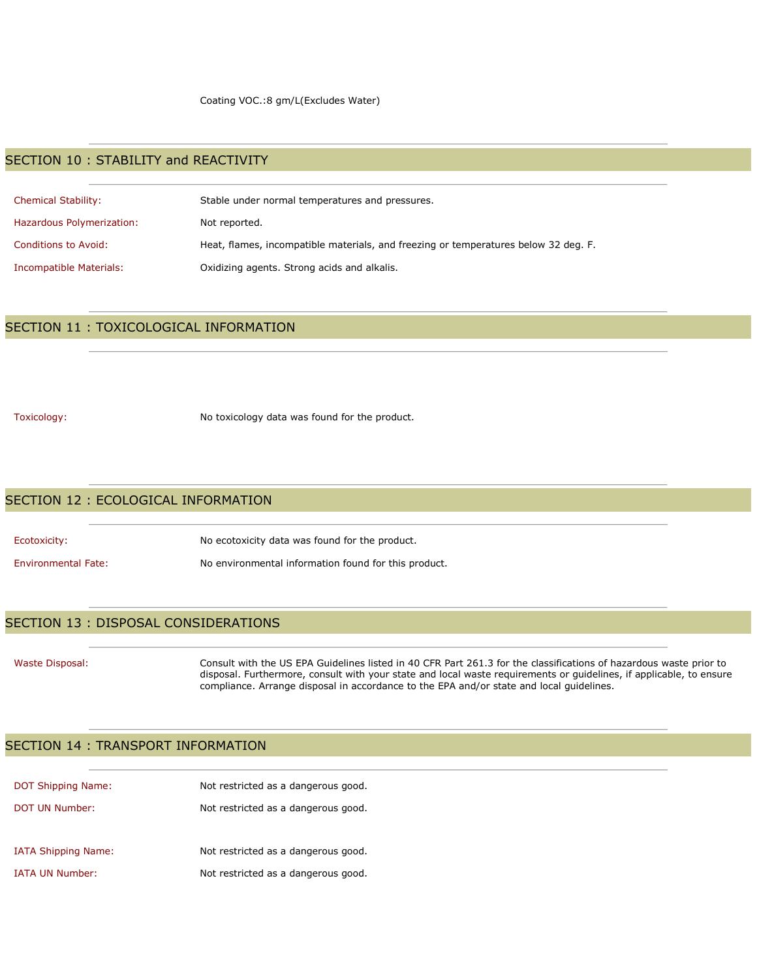### SECTION 10 : STABILITY and REACTIVITY

| <b>Chemical Stability:</b> | Stable under normal temperatures and pressures.                                     |
|----------------------------|-------------------------------------------------------------------------------------|
| Hazardous Polymerization:  | Not reported.                                                                       |
| Conditions to Avoid:       | Heat, flames, incompatible materials, and freezing or temperatures below 32 deg. F. |
| Incompatible Materials:    | Oxidizing agents. Strong acids and alkalis.                                         |

### SECTION 11 : TOXICOLOGICAL INFORMATION

Toxicology: No toxicology data was found for the product.

#### SECTION 12 : ECOLOGICAL INFORMATION

| Ecotoxicity:               | No ecotoxicity data was found for the product.       |
|----------------------------|------------------------------------------------------|
| <b>Environmental Fate:</b> | No environmental information found for this product. |

#### SECTION 13 : DISPOSAL CONSIDERATIONS

Waste Disposal: Consult with the US EPA Guidelines listed in 40 CFR Part 261.3 for the classifications of hazardous waste prior to disposal. Furthermore, consult with your state and local waste requirements or guidelines, if applicable, to ensure compliance. Arrange disposal in accordance to the EPA and/or state and local guidelines.

#### SECTION 14 : TRANSPORT INFORMATION

| <b>DOT Shipping Name:</b>  | Not restricted as a dangerous good. |
|----------------------------|-------------------------------------|
| DOT UN Number:             | Not restricted as a dangerous good. |
| <b>IATA Shipping Name:</b> | Not restricted as a dangerous good. |
| <b>IATA UN Number:</b>     | Not restricted as a dangerous good. |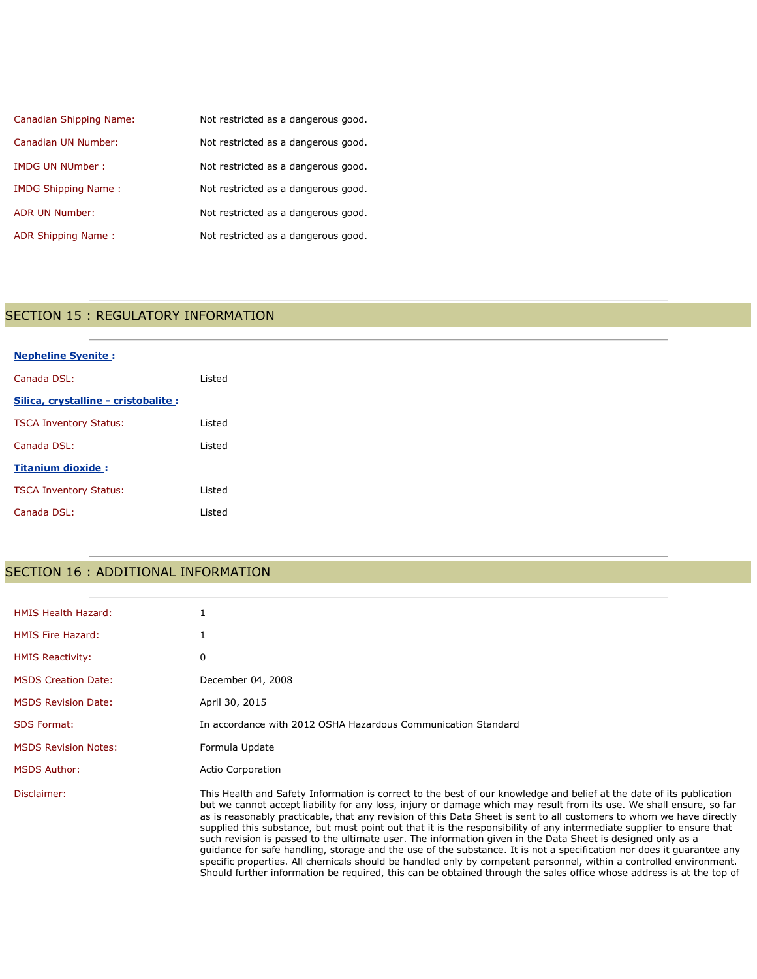| Canadian Shipping Name:    | Not restricted as a dangerous good. |
|----------------------------|-------------------------------------|
| Canadian UN Number:        | Not restricted as a dangerous good. |
| <b>IMDG UN NUmber:</b>     | Not restricted as a dangerous good. |
| <b>IMDG Shipping Name:</b> | Not restricted as a dangerous good. |
| <b>ADR UN Number:</b>      | Not restricted as a dangerous good. |
| ADR Shipping Name:         | Not restricted as a dangerous good. |

## SECTION 15 : REGULATORY INFORMATION

| <b>Nepheline Syenite:</b>            |        |
|--------------------------------------|--------|
| Canada DSL:                          | Listed |
| Silica, crystalline - cristobalite : |        |
| <b>TSCA Inventory Status:</b>        | Listed |
| Canada DSL:                          | Listed |
| <b>Titanium dioxide:</b>             |        |
| <b>TSCA Inventory Status:</b>        | Listed |
| Canada DSL:                          | Listed |

# SECTION 16 : ADDITIONAL INFORMATION

| <b>HMIS Health Hazard:</b>  |                                                                                                                                                                                                                                                                                                                                                                                                                                                                                                                                                                                                                                                                                                                                                                                                                                                                                                                                                                                     |
|-----------------------------|-------------------------------------------------------------------------------------------------------------------------------------------------------------------------------------------------------------------------------------------------------------------------------------------------------------------------------------------------------------------------------------------------------------------------------------------------------------------------------------------------------------------------------------------------------------------------------------------------------------------------------------------------------------------------------------------------------------------------------------------------------------------------------------------------------------------------------------------------------------------------------------------------------------------------------------------------------------------------------------|
| <b>HMIS Fire Hazard:</b>    |                                                                                                                                                                                                                                                                                                                                                                                                                                                                                                                                                                                                                                                                                                                                                                                                                                                                                                                                                                                     |
| <b>HMIS Reactivity:</b>     | 0                                                                                                                                                                                                                                                                                                                                                                                                                                                                                                                                                                                                                                                                                                                                                                                                                                                                                                                                                                                   |
| <b>MSDS Creation Date:</b>  | December 04, 2008                                                                                                                                                                                                                                                                                                                                                                                                                                                                                                                                                                                                                                                                                                                                                                                                                                                                                                                                                                   |
| <b>MSDS Revision Date:</b>  | April 30, 2015                                                                                                                                                                                                                                                                                                                                                                                                                                                                                                                                                                                                                                                                                                                                                                                                                                                                                                                                                                      |
| <b>SDS Format:</b>          | In accordance with 2012 OSHA Hazardous Communication Standard                                                                                                                                                                                                                                                                                                                                                                                                                                                                                                                                                                                                                                                                                                                                                                                                                                                                                                                       |
| <b>MSDS Revision Notes:</b> | Formula Update                                                                                                                                                                                                                                                                                                                                                                                                                                                                                                                                                                                                                                                                                                                                                                                                                                                                                                                                                                      |
| <b>MSDS Author:</b>         | <b>Actio Corporation</b>                                                                                                                                                                                                                                                                                                                                                                                                                                                                                                                                                                                                                                                                                                                                                                                                                                                                                                                                                            |
| Disclaimer:                 | This Health and Safety Information is correct to the best of our knowledge and belief at the date of its publication<br>but we cannot accept liability for any loss, injury or damage which may result from its use. We shall ensure, so far<br>as is reasonably practicable, that any revision of this Data Sheet is sent to all customers to whom we have directly<br>supplied this substance, but must point out that it is the responsibility of any intermediate supplier to ensure that<br>such revision is passed to the ultimate user. The information given in the Data Sheet is designed only as a<br>quidance for safe handling, storage and the use of the substance. It is not a specification nor does it quarantee any<br>specific properties. All chemicals should be handled only by competent personnel, within a controlled environment.<br>Should further information be required, this can be obtained through the sales office whose address is at the top of |